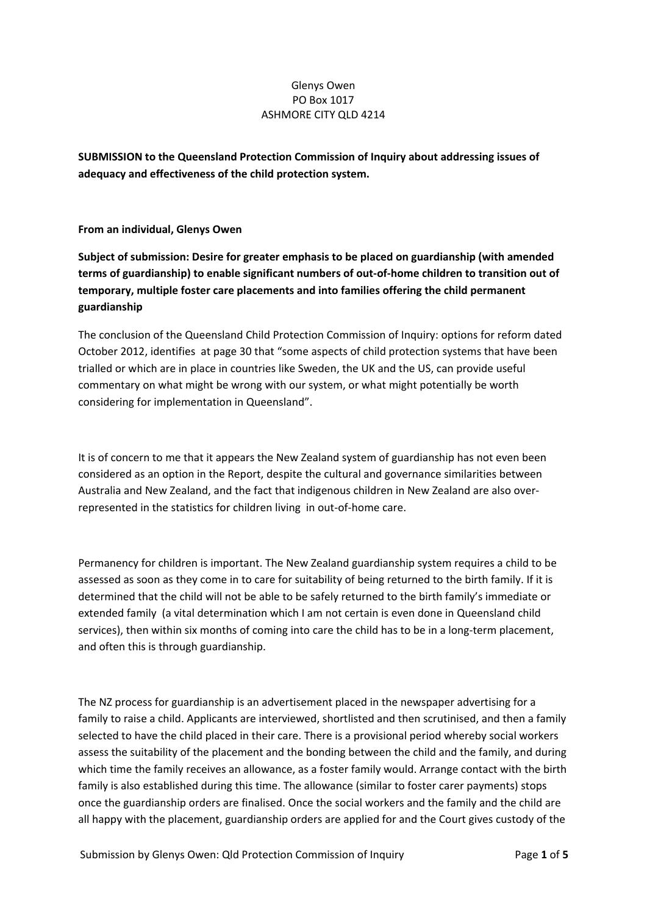## Glenys Owen PO Box 1017 ASHMORE CITY QLD 4214

**SUBMISSION to the Queensland Protection Commission of Inquiry about addressing issues of adequacy and effectiveness of the child protection system.**

**From an individual, Glenys Owen**

**Subject of submission: Desire for greater emphasis to be placed on guardianship (with amended terms of guardianship) to enable significant numbers of out‐of‐home children to transition out of temporary, multiple foster care placements and into families offering the child permanent guardianship**

The conclusion of the Queensland Child Protection Commission of Inquiry: options for reform dated October 2012, identifies at page 30 that "some aspects of child protection systems that have been trialled or which are in place in countries like Sweden, the UK and the US, can provide useful commentary on what might be wrong with our system, or what might potentially be worth considering for implementation in Queensland".

It is of concern to me that it appears the New Zealand system of guardianship has not even been considered as an option in the Report, despite the cultural and governance similarities between Australia and New Zealand, and the fact that indigenous children in New Zealand are also over‐ represented in the statistics for children living in out‐of‐home care.

Permanency for children is important. The New Zealand guardianship system requires a child to be assessed as soon as they come in to care for suitability of being returned to the birth family. If it is determined that the child will not be able to be safely returned to the birth family's immediate or extended family (a vital determination which I am not certain is even done in Queensland child services), then within six months of coming into care the child has to be in a long-term placement, and often this is through guardianship.

The NZ process for guardianship is an advertisement placed in the newspaper advertising for a family to raise a child. Applicants are interviewed, shortlisted and then scrutinised, and then a family selected to have the child placed in their care. There is a provisional period whereby social workers assess the suitability of the placement and the bonding between the child and the family, and during which time the family receives an allowance, as a foster family would. Arrange contact with the birth family is also established during this time. The allowance (similar to foster carer payments) stops once the guardianship orders are finalised. Once the social workers and the family and the child are all happy with the placement, guardianship orders are applied for and the Court gives custody of the

Submission by Glenys Owen: Qld Protection Commission of Inquiry Page **1** of **5**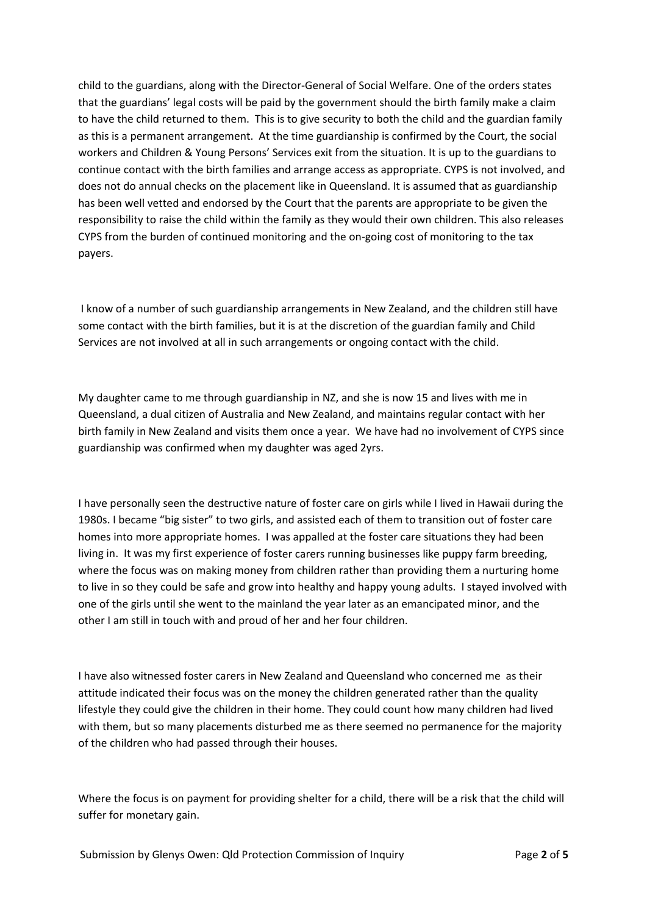child to the guardians, along with the Director‐General of Social Welfare. One of the orders states that the guardians' legal costs will be paid by the government should the birth family make a claim to have the child returned to them. This is to give security to both the child and the guardian family as this is a permanent arrangement. At the time guardianship is confirmed by the Court, the social workers and Children & Young Persons' Services exit from the situation. It is up to the guardians to continue contact with the birth families and arrange access as appropriate. CYPS is not involved, and does not do annual checks on the placement like in Queensland. It is assumed that as guardianship has been well vetted and endorsed by the Court that the parents are appropriate to be given the responsibility to raise the child within the family as they would their own children. This also releases CYPS from the burden of continued monitoring and the on‐going cost of monitoring to the tax payers.

I know of a number of such guardianship arrangements in New Zealand, and the children still have some contact with the birth families, but it is at the discretion of the guardian family and Child Services are not involved at all in such arrangements or ongoing contact with the child.

My daughter came to me through guardianship in NZ, and she is now 15 and lives with me in Queensland, a dual citizen of Australia and New Zealand, and maintains regular contact with her birth family in New Zealand and visits them once a year. We have had no involvement of CYPS since guardianship was confirmed when my daughter was aged 2yrs.

I have personally seen the destructive nature of foster care on girls while I lived in Hawaii during the 1980s. I became "big sister" to two girls, and assisted each of them to transition out of foster care homes into more appropriate homes. I was appalled at the foster care situations they had been living in. It was my first experience of foster carers running businesses like puppy farm breeding, where the focus was on making money from children rather than providing them a nurturing home to live in so they could be safe and grow into healthy and happy young adults. I stayed involved with one of the girls until she went to the mainland the year later as an emancipated minor, and the other I am still in touch with and proud of her and her four children.

I have also witnessed foster carers in New Zealand and Queensland who concerned me as their attitude indicated their focus was on the money the children generated rather than the quality lifestyle they could give the children in their home. They could count how many children had lived with them, but so many placements disturbed me as there seemed no permanence for the majority of the children who had passed through their houses.

Where the focus is on payment for providing shelter for a child, there will be a risk that the child will suffer for monetary gain.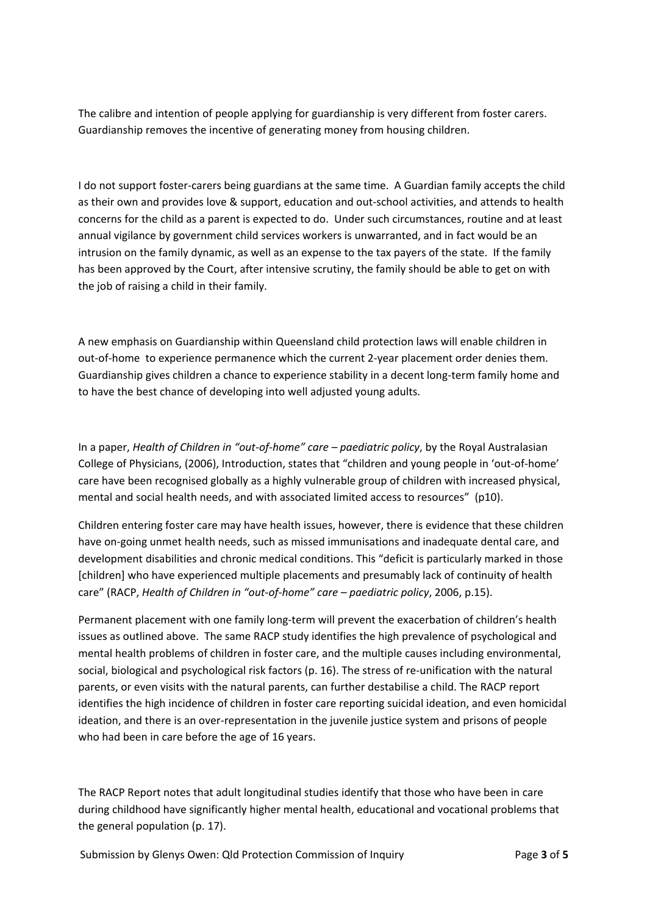The calibre and intention of people applying for guardianship is very different from foster carers. Guardianship removes the incentive of generating money from housing children.

I do not support foster‐carers being guardians at the same time. A Guardian family accepts the child as their own and provides love & support, education and out‐school activities, and attends to health concerns for the child as a parent is expected to do. Under such circumstances, routine and at least annual vigilance by government child services workers is unwarranted, and in fact would be an intrusion on the family dynamic, as well as an expense to the tax payers of the state. If the family has been approved by the Court, after intensive scrutiny, the family should be able to get on with the job of raising a child in their family.

A new emphasis on Guardianship within Queensland child protection laws will enable children in out-of-home to experience permanence which the current 2-year placement order denies them. Guardianship gives children a chance to experience stability in a decent long‐term family home and to have the best chance of developing into well adjusted young adults.

In a paper, *Health of Children in "out‐of‐home" care – paediatric policy*, by the Royal Australasian College of Physicians, (2006), Introduction, states that "children and young people in 'out‐of‐home' care have been recognised globally as a highly vulnerable group of children with increased physical, mental and social health needs, and with associated limited access to resources" (p10).

Children entering foster care may have health issues, however, there is evidence that these children have on‐going unmet health needs, such as missed immunisations and inadequate dental care, and development disabilities and chronic medical conditions. This "deficit is particularly marked in those [children] who have experienced multiple placements and presumably lack of continuity of health care" (RACP, *Health of Children in "out‐of‐home" care – paediatric policy*, 2006, p.15).

Permanent placement with one family long‐term will prevent the exacerbation of children's health issues as outlined above. The same RACP study identifies the high prevalence of psychological and mental health problems of children in foster care, and the multiple causes including environmental, social, biological and psychological risk factors (p. 16). The stress of re-unification with the natural parents, or even visits with the natural parents, can further destabilise a child. The RACP report identifies the high incidence of children in foster care reporting suicidal ideation, and even homicidal ideation, and there is an over-representation in the juvenile justice system and prisons of people who had been in care before the age of 16 years.

The RACP Report notes that adult longitudinal studies identify that those who have been in care during childhood have significantly higher mental health, educational and vocational problems that the general population (p. 17).

Submission by Glenys Owen: Qld Protection Commission of Inquiry Page **3** of **5**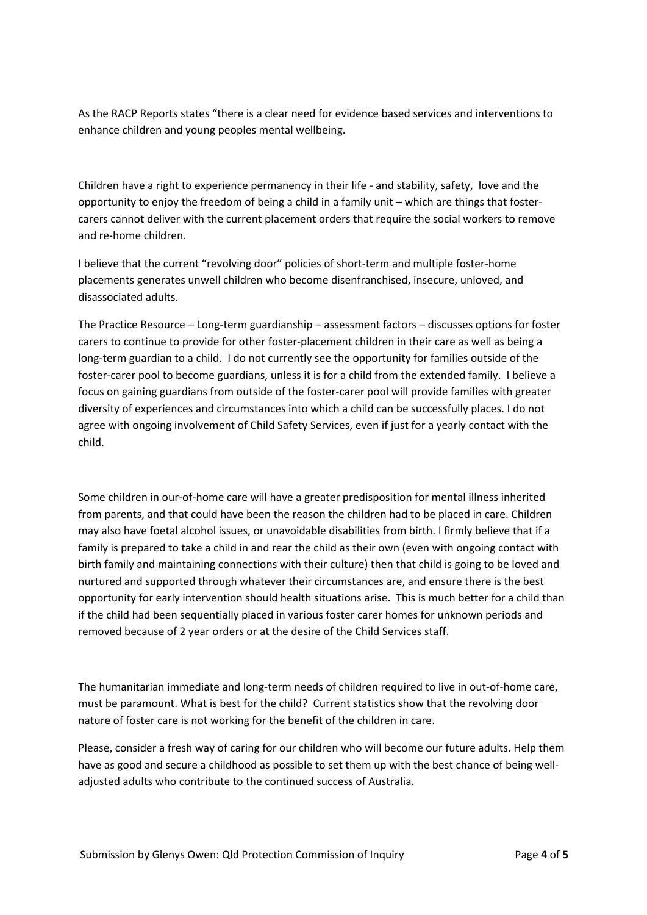As the RACP Reports states "there is a clear need for evidence based services and interventions to enhance children and young peoples mental wellbeing.

Children have a right to experience permanency in their life ‐ and stability, safety, love and the opportunity to enjoy the freedom of being a child in a family unit – which are things that foster‐ carers cannot deliver with the current placement orders that require the social workers to remove and re‐home children.

I believe that the current "revolving door" policies of short-term and multiple foster-home placements generates unwell children who become disenfranchised, insecure, unloved, and disassociated adults.

The Practice Resource – Long‐term guardianship – assessment factors – discusses options for foster carers to continue to provide for other foster‐placement children in their care as well as being a long‐term guardian to a child. I do not currently see the opportunity for families outside of the foster-carer pool to become guardians, unless it is for a child from the extended family. I believe a focus on gaining guardians from outside of the foster‐carer pool will provide families with greater diversity of experiences and circumstances into which a child can be successfully places. I do not agree with ongoing involvement of Child Safety Services, even if just for a yearly contact with the child.

Some children in our‐of‐home care will have a greater predisposition for mental illness inherited from parents, and that could have been the reason the children had to be placed in care. Children may also have foetal alcohol issues, or unavoidable disabilities from birth. I firmly believe that if a family is prepared to take a child in and rear the child as their own (even with ongoing contact with birth family and maintaining connections with their culture) then that child is going to be loved and nurtured and supported through whatever their circumstances are, and ensure there is the best opportunity for early intervention should health situations arise. This is much better for a child than if the child had been sequentially placed in various foster carer homes for unknown periods and removed because of 2 year orders or at the desire of the Child Services staff.

The humanitarian immediate and long‐term needs of children required to live in out‐of‐home care, must be paramount. What is best for the child? Current statistics show that the revolving door nature of foster care is not working for the benefit of the children in care.

Please, consider a fresh way of caring for our children who will become our future adults. Help them have as good and secure a childhood as possible to set them up with the best chance of being welladjusted adults who contribute to the continued success of Australia.